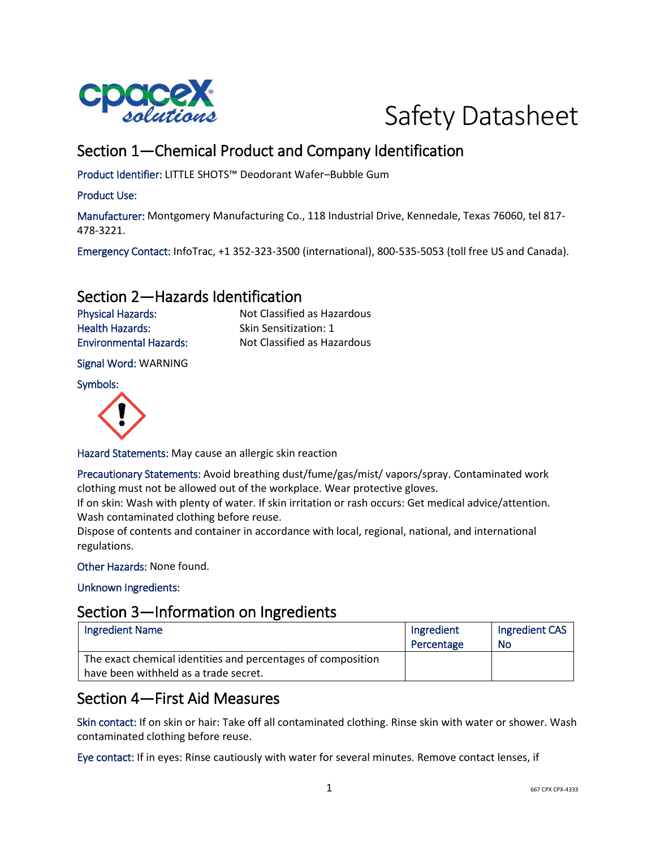



# Section 1—Chemical Product and Company Identification

Product Identifier: LITTLE SHOTS™ Deodorant Wafer–Bubble Gum

#### Product Use:

Manufacturer: Montgomery Manufacturing Co., 118 Industrial Drive, Kennedale, Texas 76060, tel 817- 478-3221.

Emergency Contact: InfoTrac, +1 352-323-3500 (international), 800-535-5053 (toll free US and Canada).

## Section 2—Hazards Identification

Health Hazards: Skin Sensitization: 1

Physical Hazards: Not Classified as Hazardous Environmental Hazards: Not Classified as Hazardous

Signal Word: WARNING

Symbols:



Hazard Statements: May cause an allergic skin reaction

Precautionary Statements: Avoid breathing dust/fume/gas/mist/ vapors/spray. Contaminated work clothing must not be allowed out of the workplace. Wear protective gloves.

If on skin: Wash with plenty of water. If skin irritation or rash occurs: Get medical advice/attention. Wash contaminated clothing before reuse.

Dispose of contents and container in accordance with local, regional, national, and international regulations.

Other Hazards: None found.

Unknown Ingredients:

### Section 3—Information on Ingredients

| <b>Ingredient Name</b>                                       | Ingredient | Ingredient CAS |
|--------------------------------------------------------------|------------|----------------|
|                                                              | Percentage | No             |
| The exact chemical identities and percentages of composition |            |                |
| have been withheld as a trade secret.                        |            |                |

## Section 4—First Aid Measures

Skin contact: If on skin or hair: Take off all contaminated clothing. Rinse skin with water or shower. Wash contaminated clothing before reuse.

Eye contact: If in eyes: Rinse cautiously with water for several minutes. Remove contact lenses, if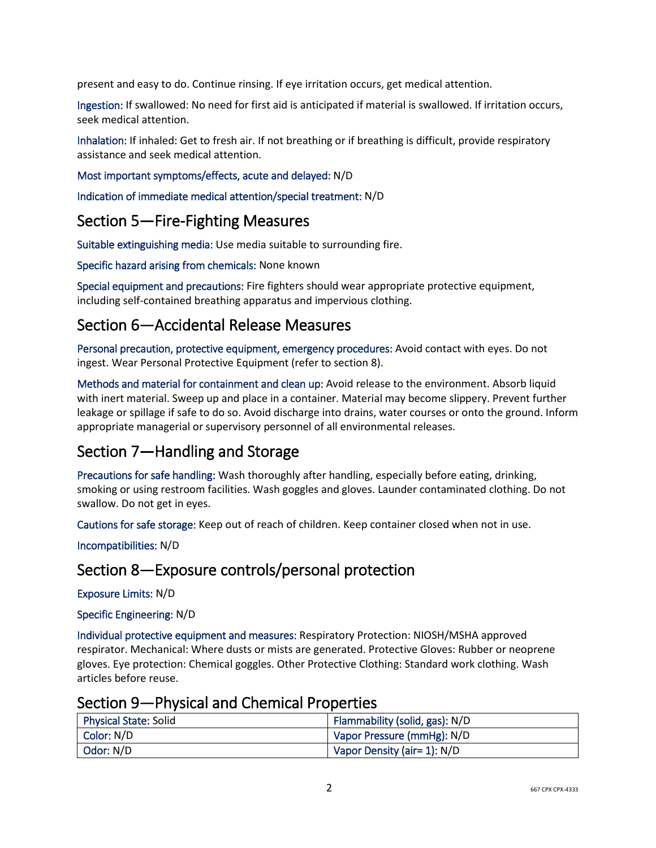present and easy to do. Continue rinsing. If eye irritation occurs, get medical attention.

Ingestion: If swallowed: No need for first aid is anticipated if material is swallowed. If irritation occurs, seek medical attention.

Inhalation: If inhaled: Get to fresh air. If not breathing or if breathing is difficult, provide respiratory assistance and seek medical attention.

#### Most important symptoms/effects, acute and delayed: N/D

Indication of immediate medical attention/special treatment: N/D

## Section 5—Fire-Fighting Measures

Suitable extinguishing media: Use media suitable to surrounding fire.

Specific hazard arising from chemicals: None known

Special equipment and precautions: Fire fighters should wear appropriate protective equipment, including self-contained breathing apparatus and impervious clothing.

## Section 6—Accidental Release Measures

Personal precaution, protective equipment, emergency procedures: Avoid contact with eyes. Do not ingest. Wear Personal Protective Equipment (refer to section 8).

Methods and material for containment and clean up: Avoid release to the environment. Absorb liquid with inert material. Sweep up and place in a container. Material may become slippery. Prevent further leakage or spillage if safe to do so. Avoid discharge into drains, water courses or onto the ground. Inform appropriate managerial or supervisory personnel of all environmental releases.

# Section 7—Handling and Storage

Precautions for safe handling: Wash thoroughly after handling, especially before eating, drinking, smoking or using restroom facilities. Wash goggles and gloves. Launder contaminated clothing. Do not swallow. Do not get in eyes.

Cautions for safe storage: Keep out of reach of children. Keep container closed when not in use.

Incompatibilities: N/D

## Section 8—Exposure controls/personal protection

Exposure Limits: N/D

Specific Engineering: N/D

Individual protective equipment and measures: Respiratory Protection: NIOSH/MSHA approved respirator. Mechanical: Where dusts or mists are generated. Protective Gloves: Rubber or neoprene gloves. Eye protection: Chemical goggles. Other Protective Clothing: Standard work clothing. Wash articles before reuse.

### Section 9—Physical and Chemical Properties

| <b>Physical State: Solid</b> | Flammability (solid, gas): N/D |
|------------------------------|--------------------------------|
| Color: N/D                   | Vapor Pressure (mmHg): N/D     |
| Odor: N/D                    | Vapor Density (air= 1): N/D    |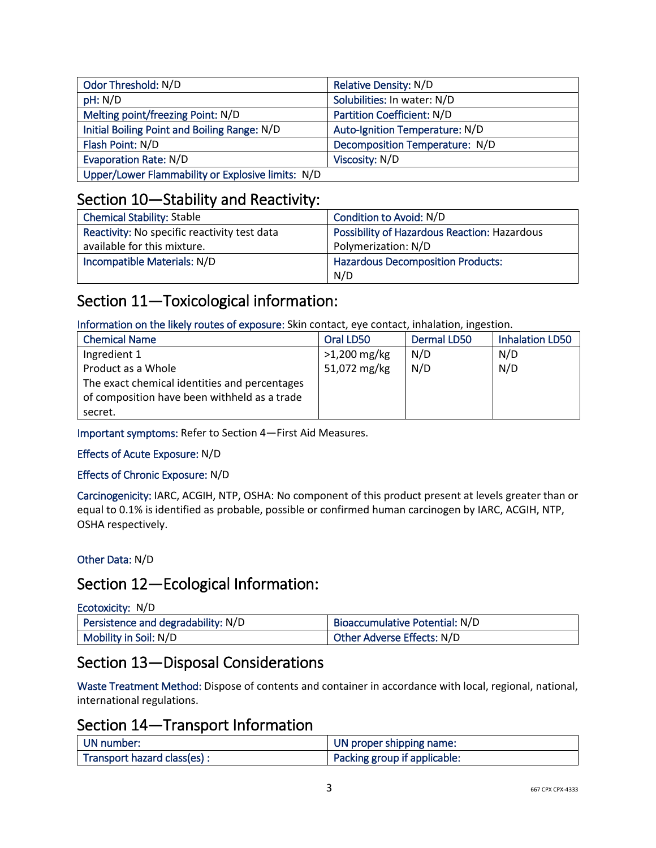| Odor Threshold: N/D                               | Relative Density: N/D          |
|---------------------------------------------------|--------------------------------|
| pH: N/D                                           | Solubilities: In water: N/D    |
| Melting point/freezing Point: N/D                 | Partition Coefficient: N/D     |
| Initial Boiling Point and Boiling Range: N/D      | Auto-Ignition Temperature: N/D |
| Flash Point: N/D                                  | Decomposition Temperature: N/D |
| <b>Evaporation Rate: N/D</b>                      | Viscosity: N/D                 |
| Upper/Lower Flammability or Explosive limits: N/D |                                |

# Section 10—Stability and Reactivity:

| <b>Chemical Stability: Stable</b>            | Condition to Avoid: N/D                      |
|----------------------------------------------|----------------------------------------------|
| Reactivity: No specific reactivity test data | Possibility of Hazardous Reaction: Hazardous |
| available for this mixture.                  | Polymerization: N/D                          |
| Incompatible Materials: N/D                  | <b>Hazardous Decomposition Products:</b>     |
|                                              | N/D                                          |

# Section 11—Toxicological information:

Information on the likely routes of exposure: Skin contact, eye contact, inhalation, ingestion.

| <b>Chemical Name</b>                          | Oral LD50      | Dermal LD50 | <b>Inhalation LD50</b> |
|-----------------------------------------------|----------------|-------------|------------------------|
| Ingredient 1                                  | $>1,200$ mg/kg | N/D         | N/D                    |
| Product as a Whole                            | 51,072 mg/kg   | N/D         | N/D                    |
| The exact chemical identities and percentages |                |             |                        |
| of composition have been withheld as a trade  |                |             |                        |
| secret.                                       |                |             |                        |

Important symptoms: Refer to Section 4—First Aid Measures.

### Effects of Acute Exposure: N/D

### Effects of Chronic Exposure: N/D

Carcinogenicity: IARC, ACGIH, NTP, OSHA: No component of this product present at levels greater than or equal to 0.1% is identified as probable, possible or confirmed human carcinogen by IARC, ACGIH, NTP, OSHA respectively.

### Other Data: N/D

## Section 12—Ecological Information:

| Ecotoxicity: N/D                   |                                |
|------------------------------------|--------------------------------|
| Persistence and degradability: N/D | Bioaccumulative Potential: N/D |
| Mobility in Soil: N/D              | Other Adverse Effects: N/D     |

## Section 13—Disposal Considerations

Waste Treatment Method: Dispose of contents and container in accordance with local, regional, national, international regulations.

## Section 14—Transport Information

| UN number:                  | UN proper shipping name:     |
|-----------------------------|------------------------------|
| Transport hazard class(es): | Packing group if applicable: |